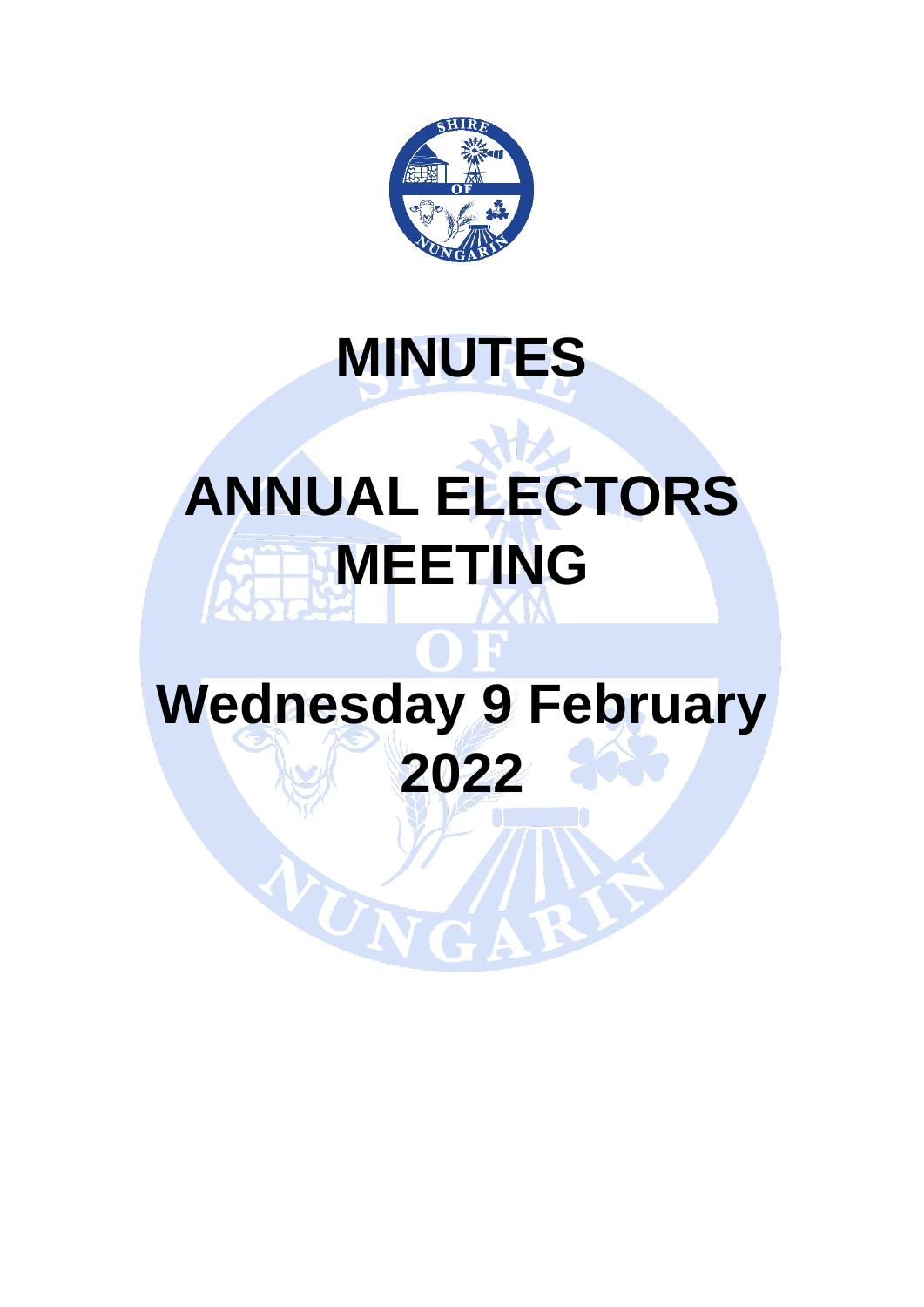

# **MINUTES**

# **ANNUAL ELECTORS MEETING**

# **Wednesday 9 February 2022**

WUN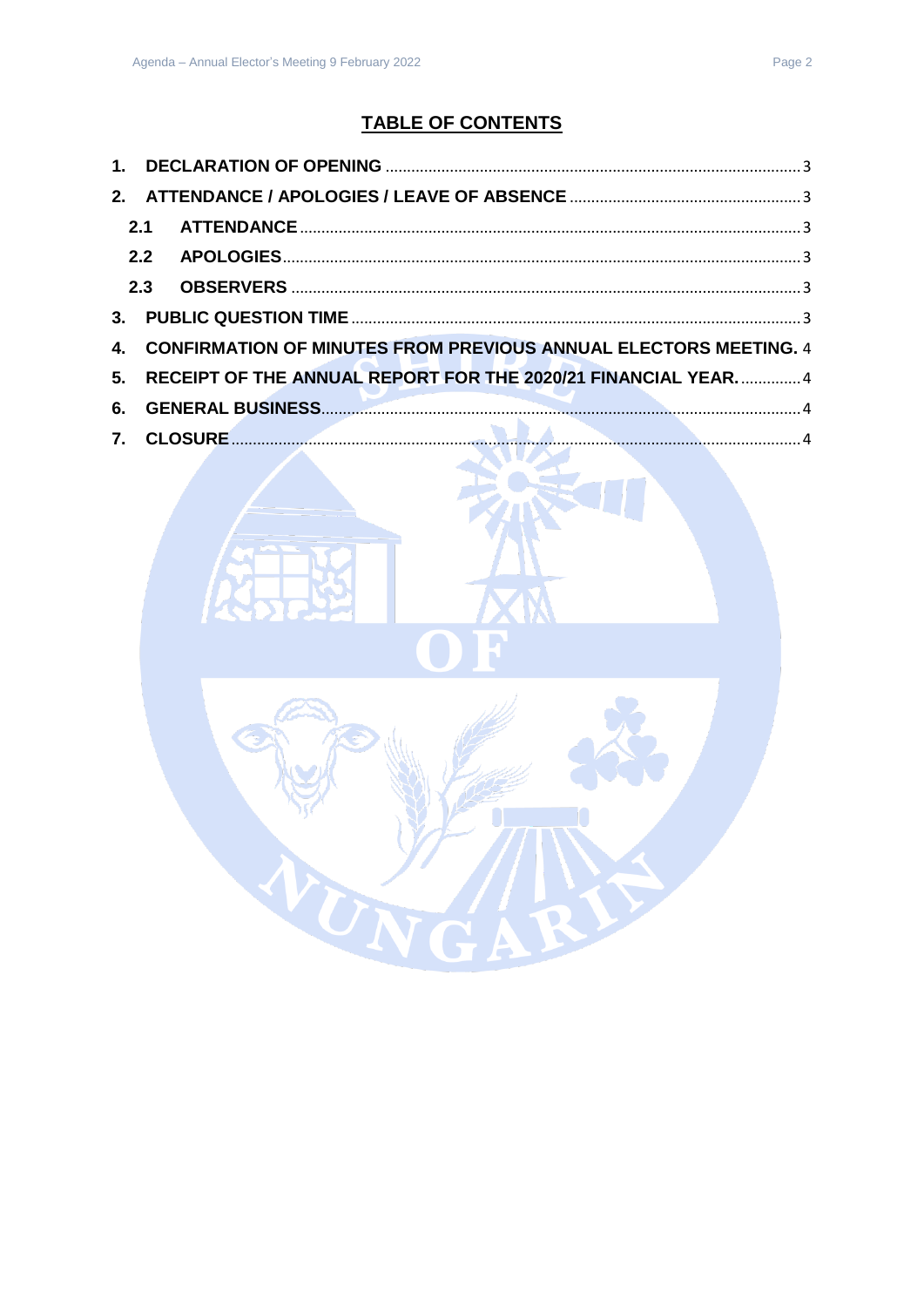## **TABLE OF CONTENTS**

| 2.1     |                                                                         |  |
|---------|-------------------------------------------------------------------------|--|
|         |                                                                         |  |
|         |                                                                         |  |
| $3-$    |                                                                         |  |
| $4_{-}$ | <b>CONFIRMATION OF MINUTES FROM PREVIOUS ANNUAL ELECTORS MEETING. 4</b> |  |
|         | 5. RECEIPT OF THE ANNUAL REPORT FOR THE 2020/21 FINANCIAL YEAR 4        |  |
|         |                                                                         |  |
|         |                                                                         |  |

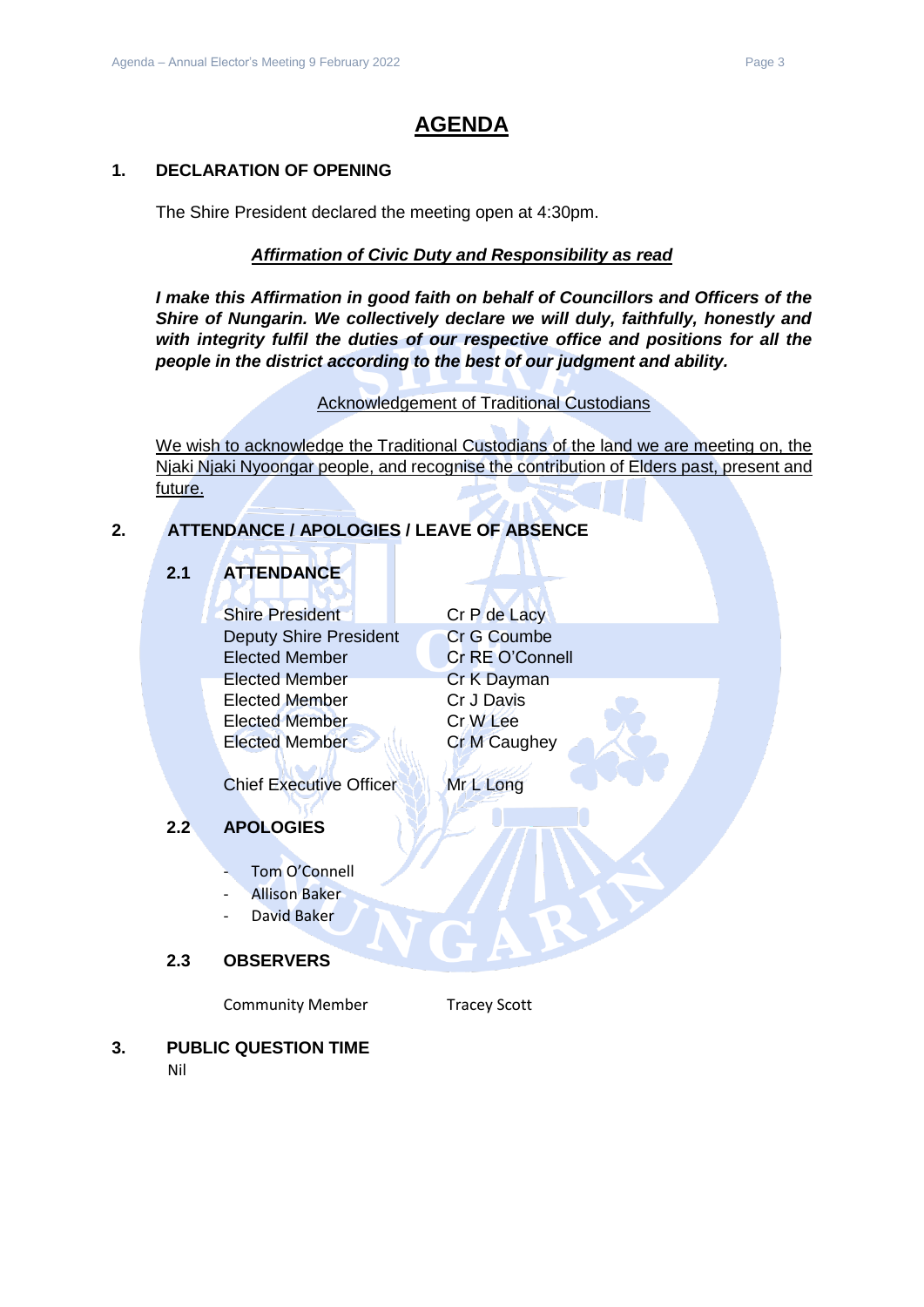### **AGENDA**

#### <span id="page-2-0"></span>**1. DECLARATION OF OPENING**

The Shire President declared the meeting open at 4:30pm.

#### *Affirmation of Civic Duty and Responsibility as read*

*I make this Affirmation in good faith on behalf of Councillors and Officers of the Shire of Nungarin. We collectively declare we will duly, faithfully, honestly and with integrity fulfil the duties of our respective office and positions for all the people in the district according to the best of our judgment and ability.*

#### Acknowledgement of Traditional Custodians

We wish to acknowledge the Traditional Custodians of the land we are meeting on, the Njaki Njaki Nyoongar people, and recognise the contribution of Elders past, present and future.

#### <span id="page-2-2"></span><span id="page-2-1"></span>**2. ATTENDANCE / APOLOGIES / LEAVE OF ABSENCE**

#### **2.1 ATTENDANCE**

Shire President Cr P de Lacy Deputy Shire President Cr G Coumbe Elected Member **Cr RE O'Connell** Elected Member Cr K Dayman Elected Member Cr J Davis Elected Member Cr W Lee Elected Member Cr M Caughey

Chief Executive Officer Mr L Long

#### <span id="page-2-3"></span>**2.2 APOLOGIES**

- Tom O'Connell
- Allison Baker
- David Baker

#### <span id="page-2-4"></span>**2.3 OBSERVERS**

Community Member Tracey Scott

### <span id="page-2-5"></span>**3. PUBLIC QUESTION TIME**

Nil